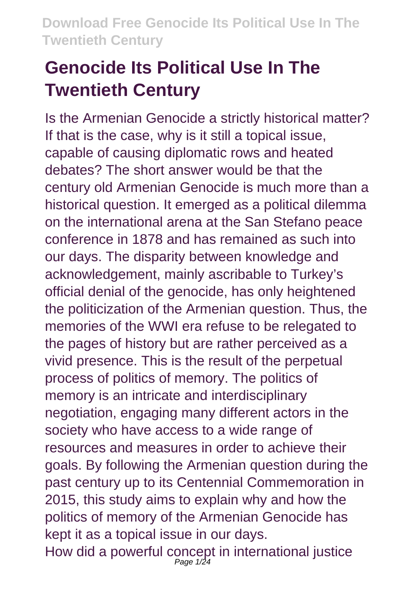# **Genocide Its Political Use In The Twentieth Century**

Is the Armenian Genocide a strictly historical matter? If that is the case, why is it still a topical issue, capable of causing diplomatic rows and heated debates? The short answer would be that the century old Armenian Genocide is much more than a historical question. It emerged as a political dilemma on the international arena at the San Stefano peace conference in 1878 and has remained as such into our days. The disparity between knowledge and acknowledgement, mainly ascribable to Turkey's official denial of the genocide, has only heightened the politicization of the Armenian question. Thus, the memories of the WWI era refuse to be relegated to the pages of history but are rather perceived as a vivid presence. This is the result of the perpetual process of politics of memory. The politics of memory is an intricate and interdisciplinary negotiation, engaging many different actors in the society who have access to a wide range of resources and measures in order to achieve their goals. By following the Armenian question during the past century up to its Centennial Commemoration in 2015, this study aims to explain why and how the politics of memory of the Armenian Genocide has kept it as a topical issue in our days. How did a powerful concept in international justice<br>Page 1/24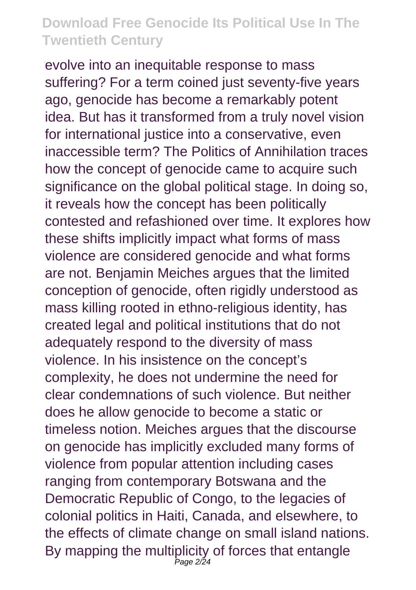evolve into an inequitable response to mass suffering? For a term coined just seventy-five years ago, genocide has become a remarkably potent idea. But has it transformed from a truly novel vision for international justice into a conservative, even inaccessible term? The Politics of Annihilation traces how the concept of genocide came to acquire such significance on the global political stage. In doing so, it reveals how the concept has been politically contested and refashioned over time. It explores how these shifts implicitly impact what forms of mass violence are considered genocide and what forms are not. Benjamin Meiches argues that the limited conception of genocide, often rigidly understood as mass killing rooted in ethno-religious identity, has created legal and political institutions that do not adequately respond to the diversity of mass violence. In his insistence on the concept's complexity, he does not undermine the need for clear condemnations of such violence. But neither does he allow genocide to become a static or timeless notion. Meiches argues that the discourse on genocide has implicitly excluded many forms of violence from popular attention including cases ranging from contemporary Botswana and the Democratic Republic of Congo, to the legacies of colonial politics in Haiti, Canada, and elsewhere, to the effects of climate change on small island nations. By mapping the multiplicity of forces that entangle Page 2/24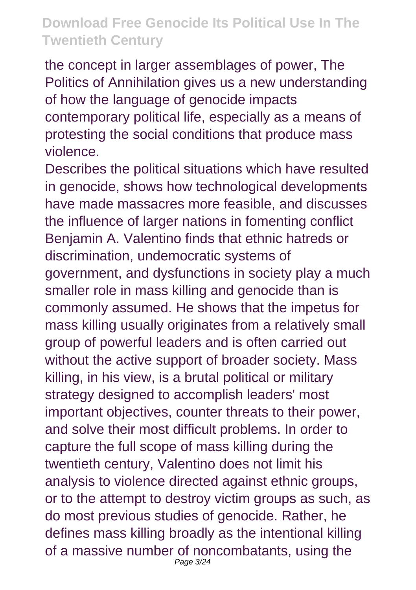the concept in larger assemblages of power, The Politics of Annihilation gives us a new understanding of how the language of genocide impacts contemporary political life, especially as a means of protesting the social conditions that produce mass violence.

Describes the political situations which have resulted in genocide, shows how technological developments have made massacres more feasible, and discusses the influence of larger nations in fomenting conflict Benjamin A. Valentino finds that ethnic hatreds or discrimination, undemocratic systems of government, and dysfunctions in society play a much smaller role in mass killing and genocide than is commonly assumed. He shows that the impetus for mass killing usually originates from a relatively small group of powerful leaders and is often carried out without the active support of broader society. Mass killing, in his view, is a brutal political or military strategy designed to accomplish leaders' most important objectives, counter threats to their power, and solve their most difficult problems. In order to capture the full scope of mass killing during the twentieth century, Valentino does not limit his analysis to violence directed against ethnic groups, or to the attempt to destroy victim groups as such, as do most previous studies of genocide. Rather, he defines mass killing broadly as the intentional killing of a massive number of noncombatants, using the Page 3/24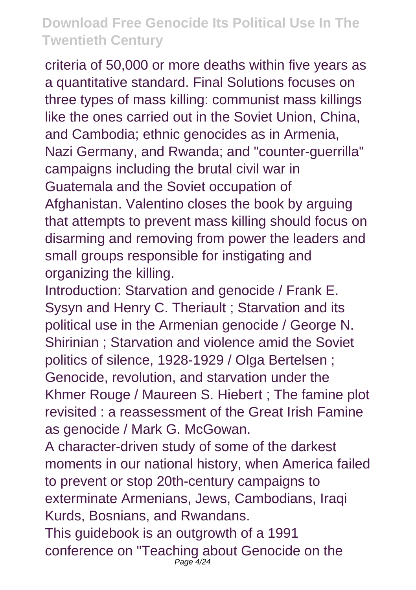criteria of 50,000 or more deaths within five years as a quantitative standard. Final Solutions focuses on three types of mass killing: communist mass killings like the ones carried out in the Soviet Union, China, and Cambodia; ethnic genocides as in Armenia, Nazi Germany, and Rwanda; and "counter-guerrilla" campaigns including the brutal civil war in Guatemala and the Soviet occupation of Afghanistan. Valentino closes the book by arguing that attempts to prevent mass killing should focus on disarming and removing from power the leaders and small groups responsible for instigating and organizing the killing.

Introduction: Starvation and genocide / Frank E. Sysyn and Henry C. Theriault ; Starvation and its political use in the Armenian genocide / George N. Shirinian ; Starvation and violence amid the Soviet politics of silence, 1928-1929 / Olga Bertelsen ; Genocide, revolution, and starvation under the Khmer Rouge / Maureen S. Hiebert ; The famine plot revisited : a reassessment of the Great Irish Famine as genocide / Mark G. McGowan.

A character-driven study of some of the darkest moments in our national history, when America failed to prevent or stop 20th-century campaigns to exterminate Armenians, Jews, Cambodians, Iraqi Kurds, Bosnians, and Rwandans.

This guidebook is an outgrowth of a 1991 conference on "Teaching about Genocide on the Page 4/24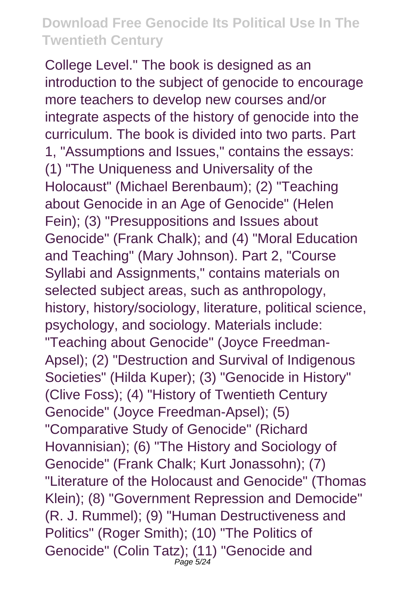College Level." The book is designed as an introduction to the subject of genocide to encourage more teachers to develop new courses and/or integrate aspects of the history of genocide into the curriculum. The book is divided into two parts. Part 1, "Assumptions and Issues," contains the essays: (1) "The Uniqueness and Universality of the Holocaust" (Michael Berenbaum); (2) "Teaching about Genocide in an Age of Genocide" (Helen Fein); (3) "Presuppositions and Issues about Genocide" (Frank Chalk); and (4) "Moral Education and Teaching" (Mary Johnson). Part 2, "Course Syllabi and Assignments," contains materials on selected subject areas, such as anthropology, history, history/sociology, literature, political science, psychology, and sociology. Materials include: "Teaching about Genocide" (Joyce Freedman-Apsel); (2) "Destruction and Survival of Indigenous Societies" (Hilda Kuper); (3) "Genocide in History" (Clive Foss); (4) "History of Twentieth Century Genocide" (Joyce Freedman-Apsel); (5) "Comparative Study of Genocide" (Richard Hovannisian); (6) "The History and Sociology of Genocide" (Frank Chalk; Kurt Jonassohn); (7) "Literature of the Holocaust and Genocide" (Thomas Klein); (8) "Government Repression and Democide" (R. J. Rummel); (9) "Human Destructiveness and Politics" (Roger Smith); (10) "The Politics of Genocide" (Colin Tatz); (11) "Genocide and Page 5/24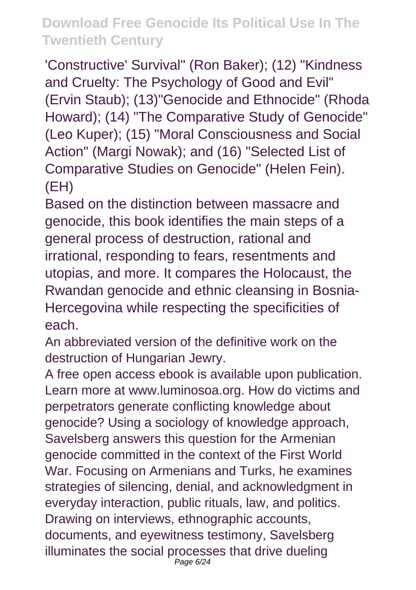'Constructive' Survival" (Ron Baker); (12) "Kindness and Cruelty: The Psychology of Good and Evil" (Ervin Staub); (13)"Genocide and Ethnocide" (Rhoda Howard); (14) "The Comparative Study of Genocide" (Leo Kuper); (15) "Moral Consciousness and Social Action" (Margi Nowak); and (16) "Selected List of Comparative Studies on Genocide" (Helen Fein). (EH)

Based on the distinction between massacre and genocide, this book identifies the main steps of a general process of destruction, rational and irrational, responding to fears, resentments and utopias, and more. It compares the Holocaust, the Rwandan genocide and ethnic cleansing in Bosnia-Hercegovina while respecting the specificities of each.

An abbreviated version of the definitive work on the destruction of Hungarian Jewry.

A free open access ebook is available upon publication. Learn more at www.luminosoa.org. How do victims and perpetrators generate conflicting knowledge about genocide? Using a sociology of knowledge approach, Savelsberg answers this question for the Armenian genocide committed in the context of the First World War. Focusing on Armenians and Turks, he examines strategies of silencing, denial, and acknowledgment in everyday interaction, public rituals, law, and politics. Drawing on interviews, ethnographic accounts, documents, and eyewitness testimony, Savelsberg illuminates the social processes that drive dueling Page 6/24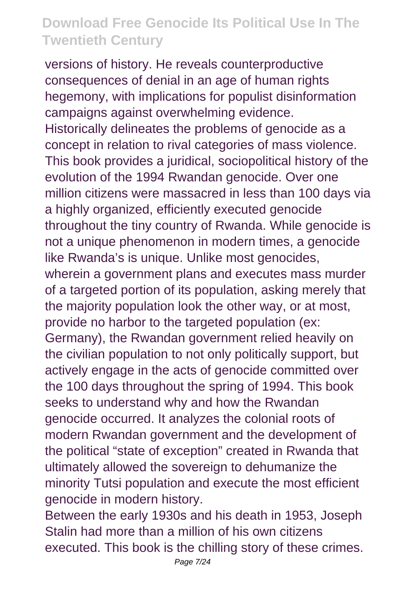versions of history. He reveals counterproductive consequences of denial in an age of human rights hegemony, with implications for populist disinformation campaigns against overwhelming evidence. Historically delineates the problems of genocide as a concept in relation to rival categories of mass violence. This book provides a juridical, sociopolitical history of the evolution of the 1994 Rwandan genocide. Over one million citizens were massacred in less than 100 days via a highly organized, efficiently executed genocide throughout the tiny country of Rwanda. While genocide is not a unique phenomenon in modern times, a genocide like Rwanda's is unique. Unlike most genocides, wherein a government plans and executes mass murder of a targeted portion of its population, asking merely that the majority population look the other way, or at most, provide no harbor to the targeted population (ex: Germany), the Rwandan government relied heavily on the civilian population to not only politically support, but actively engage in the acts of genocide committed over the 100 days throughout the spring of 1994. This book seeks to understand why and how the Rwandan genocide occurred. It analyzes the colonial roots of modern Rwandan government and the development of the political "state of exception" created in Rwanda that ultimately allowed the sovereign to dehumanize the minority Tutsi population and execute the most efficient genocide in modern history.

Between the early 1930s and his death in 1953, Joseph Stalin had more than a million of his own citizens executed. This book is the chilling story of these crimes.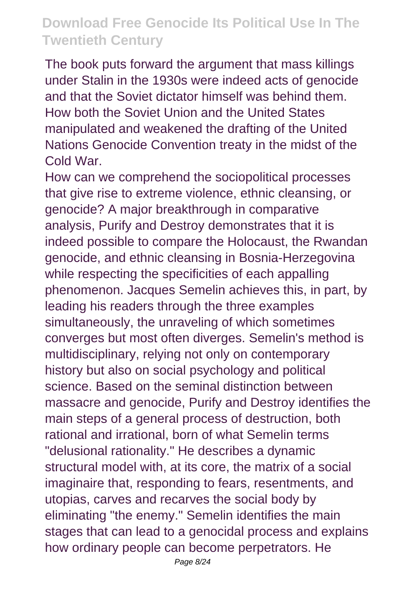The book puts forward the argument that mass killings under Stalin in the 1930s were indeed acts of genocide and that the Soviet dictator himself was behind them. How both the Soviet Union and the United States manipulated and weakened the drafting of the United Nations Genocide Convention treaty in the midst of the Cold War.

How can we comprehend the sociopolitical processes that give rise to extreme violence, ethnic cleansing, or genocide? A major breakthrough in comparative analysis, Purify and Destroy demonstrates that it is indeed possible to compare the Holocaust, the Rwandan genocide, and ethnic cleansing in Bosnia-Herzegovina while respecting the specificities of each appalling phenomenon. Jacques Semelin achieves this, in part, by leading his readers through the three examples simultaneously, the unraveling of which sometimes converges but most often diverges. Semelin's method is multidisciplinary, relying not only on contemporary history but also on social psychology and political science. Based on the seminal distinction between massacre and genocide, Purify and Destroy identifies the main steps of a general process of destruction, both rational and irrational, born of what Semelin terms "delusional rationality." He describes a dynamic structural model with, at its core, the matrix of a social imaginaire that, responding to fears, resentments, and utopias, carves and recarves the social body by eliminating "the enemy." Semelin identifies the main stages that can lead to a genocidal process and explains how ordinary people can become perpetrators. He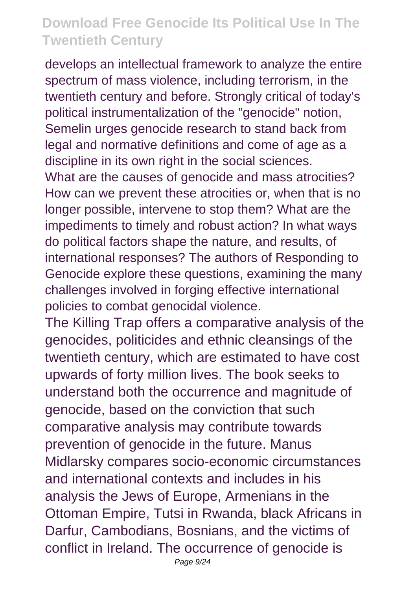develops an intellectual framework to analyze the entire spectrum of mass violence, including terrorism, in the twentieth century and before. Strongly critical of today's political instrumentalization of the "genocide" notion, Semelin urges genocide research to stand back from legal and normative definitions and come of age as a discipline in its own right in the social sciences.

What are the causes of genocide and mass atrocities? How can we prevent these atrocities or, when that is no longer possible, intervene to stop them? What are the impediments to timely and robust action? In what ways do political factors shape the nature, and results, of international responses? The authors of Responding to Genocide explore these questions, examining the many challenges involved in forging effective international policies to combat genocidal violence.

The Killing Trap offers a comparative analysis of the genocides, politicides and ethnic cleansings of the twentieth century, which are estimated to have cost upwards of forty million lives. The book seeks to understand both the occurrence and magnitude of genocide, based on the conviction that such comparative analysis may contribute towards prevention of genocide in the future. Manus Midlarsky compares socio-economic circumstances and international contexts and includes in his analysis the Jews of Europe, Armenians in the Ottoman Empire, Tutsi in Rwanda, black Africans in Darfur, Cambodians, Bosnians, and the victims of conflict in Ireland. The occurrence of genocide is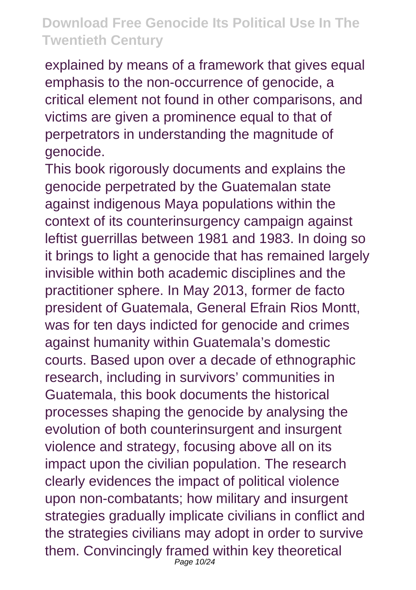explained by means of a framework that gives equal emphasis to the non-occurrence of genocide, a critical element not found in other comparisons, and victims are given a prominence equal to that of perpetrators in understanding the magnitude of genocide.

This book rigorously documents and explains the genocide perpetrated by the Guatemalan state against indigenous Maya populations within the context of its counterinsurgency campaign against leftist guerrillas between 1981 and 1983. In doing so it brings to light a genocide that has remained largely invisible within both academic disciplines and the practitioner sphere. In May 2013, former de facto president of Guatemala, General Efrain Rios Montt, was for ten days indicted for genocide and crimes against humanity within Guatemala's domestic courts. Based upon over a decade of ethnographic research, including in survivors' communities in Guatemala, this book documents the historical processes shaping the genocide by analysing the evolution of both counterinsurgent and insurgent violence and strategy, focusing above all on its impact upon the civilian population. The research clearly evidences the impact of political violence upon non-combatants; how military and insurgent strategies gradually implicate civilians in conflict and the strategies civilians may adopt in order to survive them. Convincingly framed within key theoretical Page 10/24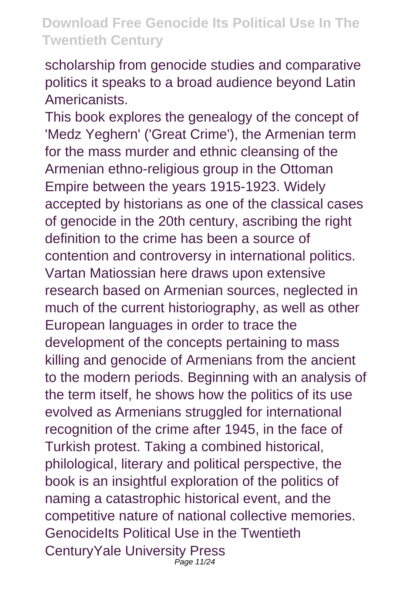scholarship from genocide studies and comparative politics it speaks to a broad audience beyond Latin Americanists.

This book explores the genealogy of the concept of 'Medz Yeghern' ('Great Crime'), the Armenian term for the mass murder and ethnic cleansing of the Armenian ethno-religious group in the Ottoman Empire between the years 1915-1923. Widely accepted by historians as one of the classical cases of genocide in the 20th century, ascribing the right definition to the crime has been a source of contention and controversy in international politics. Vartan Matiossian here draws upon extensive research based on Armenian sources, neglected in much of the current historiography, as well as other European languages in order to trace the development of the concepts pertaining to mass killing and genocide of Armenians from the ancient to the modern periods. Beginning with an analysis of the term itself, he shows how the politics of its use evolved as Armenians struggled for international recognition of the crime after 1945, in the face of Turkish protest. Taking a combined historical, philological, literary and political perspective, the book is an insightful exploration of the politics of naming a catastrophic historical event, and the competitive nature of national collective memories. GenocideIts Political Use in the Twentieth CenturyYale University Press Page 11/24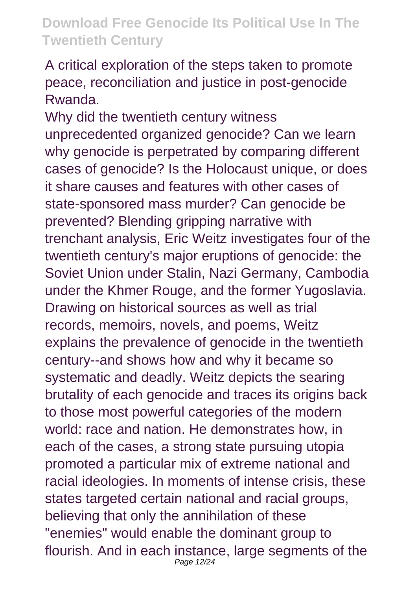A critical exploration of the steps taken to promote peace, reconciliation and justice in post-genocide Rwanda.

Why did the twentieth century witness unprecedented organized genocide? Can we learn why genocide is perpetrated by comparing different cases of genocide? Is the Holocaust unique, or does it share causes and features with other cases of state-sponsored mass murder? Can genocide be prevented? Blending gripping narrative with trenchant analysis, Eric Weitz investigates four of the twentieth century's major eruptions of genocide: the Soviet Union under Stalin, Nazi Germany, Cambodia under the Khmer Rouge, and the former Yugoslavia. Drawing on historical sources as well as trial records, memoirs, novels, and poems, Weitz explains the prevalence of genocide in the twentieth century--and shows how and why it became so systematic and deadly. Weitz depicts the searing brutality of each genocide and traces its origins back to those most powerful categories of the modern world: race and nation. He demonstrates how, in each of the cases, a strong state pursuing utopia promoted a particular mix of extreme national and racial ideologies. In moments of intense crisis, these states targeted certain national and racial groups. believing that only the annihilation of these "enemies" would enable the dominant group to flourish. And in each instance, large segments of the Page 12/24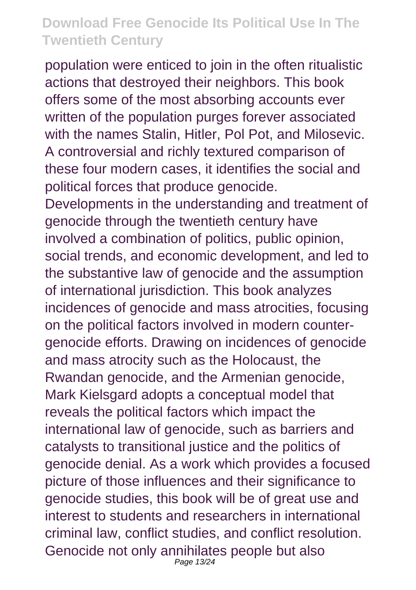population were enticed to join in the often ritualistic actions that destroyed their neighbors. This book offers some of the most absorbing accounts ever written of the population purges forever associated with the names Stalin, Hitler, Pol Pot, and Milosevic. A controversial and richly textured comparison of these four modern cases, it identifies the social and political forces that produce genocide. Developments in the understanding and treatment of genocide through the twentieth century have involved a combination of politics, public opinion, social trends, and economic development, and led to the substantive law of genocide and the assumption of international jurisdiction. This book analyzes incidences of genocide and mass atrocities, focusing on the political factors involved in modern countergenocide efforts. Drawing on incidences of genocide and mass atrocity such as the Holocaust, the Rwandan genocide, and the Armenian genocide, Mark Kielsgard adopts a conceptual model that reveals the political factors which impact the international law of genocide, such as barriers and catalysts to transitional justice and the politics of genocide denial. As a work which provides a focused picture of those influences and their significance to genocide studies, this book will be of great use and interest to students and researchers in international criminal law, conflict studies, and conflict resolution. Genocide not only annihilates people but also Page 13/24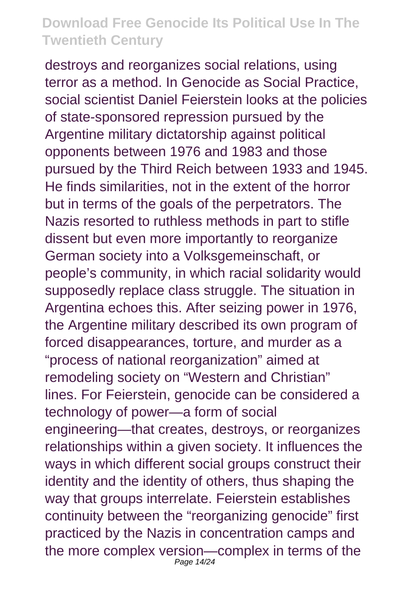destroys and reorganizes social relations, using terror as a method. In Genocide as Social Practice, social scientist Daniel Feierstein looks at the policies of state-sponsored repression pursued by the Argentine military dictatorship against political opponents between 1976 and 1983 and those pursued by the Third Reich between 1933 and 1945. He finds similarities, not in the extent of the horror but in terms of the goals of the perpetrators. The Nazis resorted to ruthless methods in part to stifle dissent but even more importantly to reorganize German society into a Volksgemeinschaft, or people's community, in which racial solidarity would supposedly replace class struggle. The situation in Argentina echoes this. After seizing power in 1976, the Argentine military described its own program of forced disappearances, torture, and murder as a "process of national reorganization" aimed at remodeling society on "Western and Christian" lines. For Feierstein, genocide can be considered a technology of power—a form of social engineering—that creates, destroys, or reorganizes relationships within a given society. It influences the ways in which different social groups construct their identity and the identity of others, thus shaping the way that groups interrelate. Feierstein establishes continuity between the "reorganizing genocide" first practiced by the Nazis in concentration camps and the more complex version—complex in terms of the Page 14/24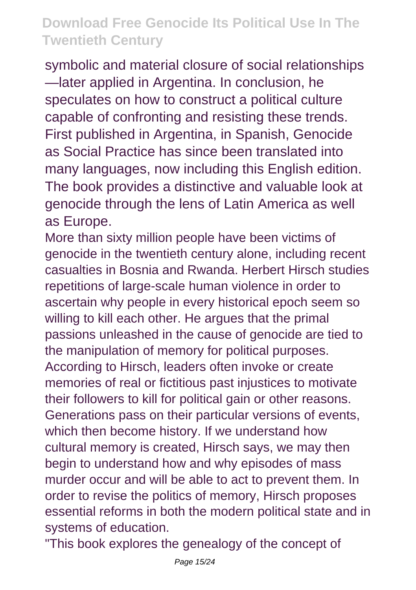symbolic and material closure of social relationships —later applied in Argentina. In conclusion, he speculates on how to construct a political culture capable of confronting and resisting these trends. First published in Argentina, in Spanish, Genocide as Social Practice has since been translated into many languages, now including this English edition. The book provides a distinctive and valuable look at genocide through the lens of Latin America as well as Europe.

More than sixty million people have been victims of genocide in the twentieth century alone, including recent casualties in Bosnia and Rwanda. Herbert Hirsch studies repetitions of large-scale human violence in order to ascertain why people in every historical epoch seem so willing to kill each other. He argues that the primal passions unleashed in the cause of genocide are tied to the manipulation of memory for political purposes. According to Hirsch, leaders often invoke or create memories of real or fictitious past injustices to motivate their followers to kill for political gain or other reasons. Generations pass on their particular versions of events, which then become history. If we understand how cultural memory is created, Hirsch says, we may then begin to understand how and why episodes of mass murder occur and will be able to act to prevent them. In order to revise the politics of memory, Hirsch proposes essential reforms in both the modern political state and in systems of education.

"This book explores the genealogy of the concept of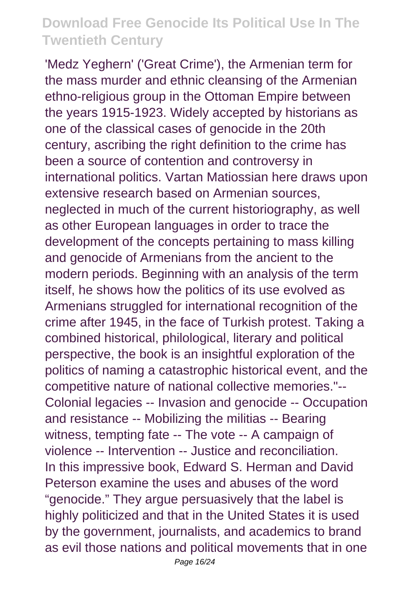'Medz Yeghern' ('Great Crime'), the Armenian term for the mass murder and ethnic cleansing of the Armenian ethno-religious group in the Ottoman Empire between the years 1915-1923. Widely accepted by historians as one of the classical cases of genocide in the 20th century, ascribing the right definition to the crime has been a source of contention and controversy in international politics. Vartan Matiossian here draws upon extensive research based on Armenian sources, neglected in much of the current historiography, as well as other European languages in order to trace the development of the concepts pertaining to mass killing and genocide of Armenians from the ancient to the modern periods. Beginning with an analysis of the term itself, he shows how the politics of its use evolved as Armenians struggled for international recognition of the crime after 1945, in the face of Turkish protest. Taking a combined historical, philological, literary and political perspective, the book is an insightful exploration of the politics of naming a catastrophic historical event, and the competitive nature of national collective memories."-- Colonial legacies -- Invasion and genocide -- Occupation and resistance -- Mobilizing the militias -- Bearing witness, tempting fate -- The vote -- A campaign of violence -- Intervention -- Justice and reconciliation. In this impressive book, Edward S. Herman and David Peterson examine the uses and abuses of the word "genocide." They argue persuasively that the label is highly politicized and that in the United States it is used by the government, journalists, and academics to brand as evil those nations and political movements that in one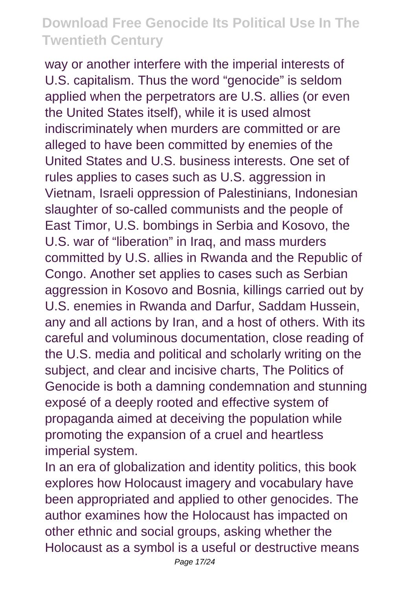way or another interfere with the imperial interests of U.S. capitalism. Thus the word "genocide" is seldom applied when the perpetrators are U.S. allies (or even the United States itself), while it is used almost indiscriminately when murders are committed or are alleged to have been committed by enemies of the United States and U.S. business interests. One set of rules applies to cases such as U.S. aggression in Vietnam, Israeli oppression of Palestinians, Indonesian slaughter of so-called communists and the people of East Timor, U.S. bombings in Serbia and Kosovo, the U.S. war of "liberation" in Iraq, and mass murders committed by U.S. allies in Rwanda and the Republic of Congo. Another set applies to cases such as Serbian aggression in Kosovo and Bosnia, killings carried out by U.S. enemies in Rwanda and Darfur, Saddam Hussein, any and all actions by Iran, and a host of others. With its careful and voluminous documentation, close reading of the U.S. media and political and scholarly writing on the subject, and clear and incisive charts, The Politics of Genocide is both a damning condemnation and stunning exposé of a deeply rooted and effective system of propaganda aimed at deceiving the population while promoting the expansion of a cruel and heartless imperial system.

In an era of globalization and identity politics, this book explores how Holocaust imagery and vocabulary have been appropriated and applied to other genocides. The author examines how the Holocaust has impacted on other ethnic and social groups, asking whether the Holocaust as a symbol is a useful or destructive means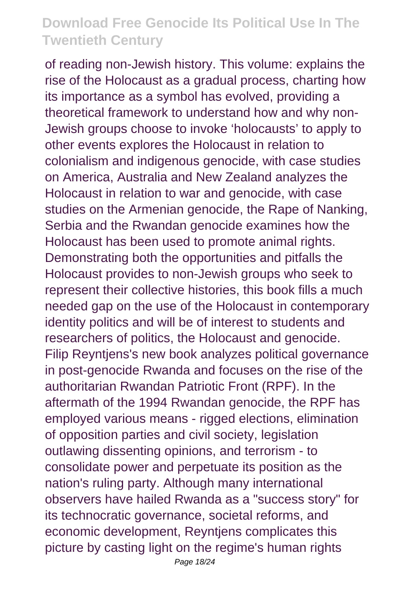of reading non-Jewish history. This volume: explains the rise of the Holocaust as a gradual process, charting how its importance as a symbol has evolved, providing a theoretical framework to understand how and why non-Jewish groups choose to invoke 'holocausts' to apply to other events explores the Holocaust in relation to colonialism and indigenous genocide, with case studies on America, Australia and New Zealand analyzes the Holocaust in relation to war and genocide, with case studies on the Armenian genocide, the Rape of Nanking, Serbia and the Rwandan genocide examines how the Holocaust has been used to promote animal rights. Demonstrating both the opportunities and pitfalls the Holocaust provides to non-Jewish groups who seek to represent their collective histories, this book fills a much needed gap on the use of the Holocaust in contemporary identity politics and will be of interest to students and researchers of politics, the Holocaust and genocide. Filip Reyntjens's new book analyzes political governance in post-genocide Rwanda and focuses on the rise of the authoritarian Rwandan Patriotic Front (RPF). In the aftermath of the 1994 Rwandan genocide, the RPF has employed various means - rigged elections, elimination of opposition parties and civil society, legislation outlawing dissenting opinions, and terrorism - to consolidate power and perpetuate its position as the nation's ruling party. Although many international observers have hailed Rwanda as a "success story" for its technocratic governance, societal reforms, and economic development, Reyntjens complicates this picture by casting light on the regime's human rights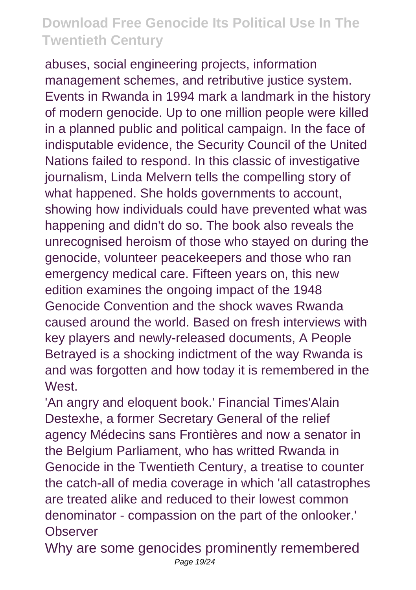abuses, social engineering projects, information management schemes, and retributive justice system. Events in Rwanda in 1994 mark a landmark in the history of modern genocide. Up to one million people were killed in a planned public and political campaign. In the face of indisputable evidence, the Security Council of the United Nations failed to respond. In this classic of investigative journalism, Linda Melvern tells the compelling story of what happened. She holds governments to account, showing how individuals could have prevented what was happening and didn't do so. The book also reveals the unrecognised heroism of those who stayed on during the genocide, volunteer peacekeepers and those who ran emergency medical care. Fifteen years on, this new edition examines the ongoing impact of the 1948 Genocide Convention and the shock waves Rwanda caused around the world. Based on fresh interviews with key players and newly-released documents, A People Betrayed is a shocking indictment of the way Rwanda is and was forgotten and how today it is remembered in the **West** 

'An angry and eloquent book.' Financial Times'Alain Destexhe, a former Secretary General of the relief agency Médecins sans Frontières and now a senator in the Belgium Parliament, who has writted Rwanda in Genocide in the Twentieth Century, a treatise to counter the catch-all of media coverage in which 'all catastrophes are treated alike and reduced to their lowest common denominator - compassion on the part of the onlooker.' **Observer** 

Why are some genocides prominently remembered Page 19/24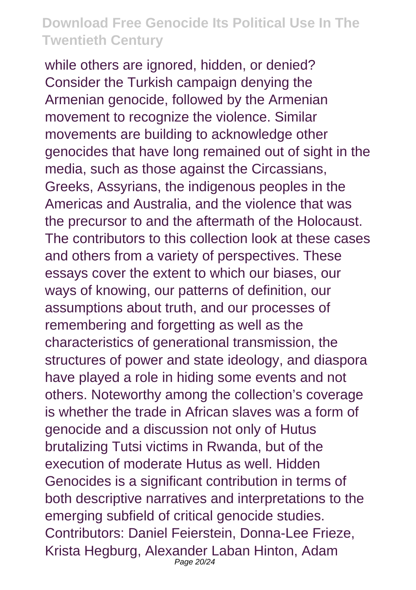while others are ignored, hidden, or denied? Consider the Turkish campaign denying the Armenian genocide, followed by the Armenian movement to recognize the violence. Similar movements are building to acknowledge other genocides that have long remained out of sight in the media, such as those against the Circassians, Greeks, Assyrians, the indigenous peoples in the Americas and Australia, and the violence that was the precursor to and the aftermath of the Holocaust. The contributors to this collection look at these cases and others from a variety of perspectives. These essays cover the extent to which our biases, our ways of knowing, our patterns of definition, our assumptions about truth, and our processes of remembering and forgetting as well as the characteristics of generational transmission, the structures of power and state ideology, and diaspora have played a role in hiding some events and not others. Noteworthy among the collection's coverage is whether the trade in African slaves was a form of genocide and a discussion not only of Hutus brutalizing Tutsi victims in Rwanda, but of the execution of moderate Hutus as well. Hidden Genocides is a significant contribution in terms of both descriptive narratives and interpretations to the emerging subfield of critical genocide studies. Contributors: Daniel Feierstein, Donna-Lee Frieze, Krista Hegburg, Alexander Laban Hinton, Adam Page 20/24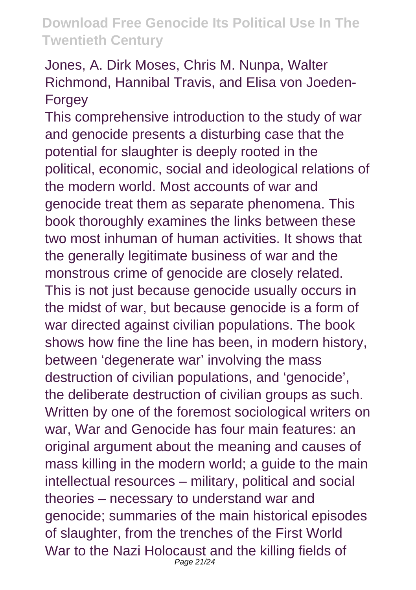#### Jones, A. Dirk Moses, Chris M. Nunpa, Walter Richmond, Hannibal Travis, and Elisa von Joeden-Forgey

This comprehensive introduction to the study of war and genocide presents a disturbing case that the potential for slaughter is deeply rooted in the political, economic, social and ideological relations of the modern world. Most accounts of war and genocide treat them as separate phenomena. This book thoroughly examines the links between these two most inhuman of human activities. It shows that the generally legitimate business of war and the monstrous crime of genocide are closely related. This is not just because genocide usually occurs in the midst of war, but because genocide is a form of war directed against civilian populations. The book shows how fine the line has been, in modern history, between 'degenerate war' involving the mass destruction of civilian populations, and 'genocide', the deliberate destruction of civilian groups as such. Written by one of the foremost sociological writers on war, War and Genocide has four main features: an original argument about the meaning and causes of mass killing in the modern world; a guide to the main intellectual resources – military, political and social theories – necessary to understand war and genocide; summaries of the main historical episodes of slaughter, from the trenches of the First World War to the Nazi Holocaust and the killing fields of Page 21/24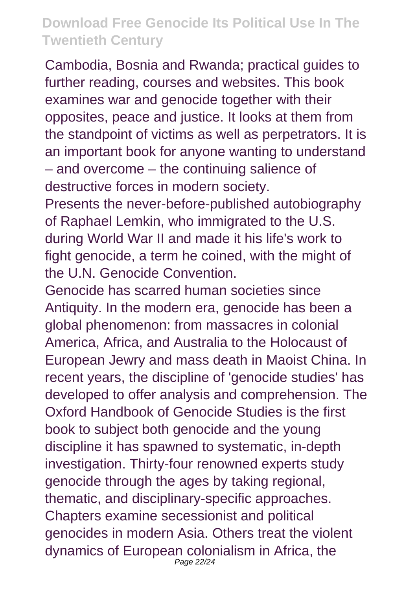Cambodia, Bosnia and Rwanda; practical guides to further reading, courses and websites. This book examines war and genocide together with their opposites, peace and justice. It looks at them from the standpoint of victims as well as perpetrators. It is an important book for anyone wanting to understand – and overcome – the continuing salience of destructive forces in modern society.

Presents the never-before-published autobiography of Raphael Lemkin, who immigrated to the U.S. during World War II and made it his life's work to fight genocide, a term he coined, with the might of the U.N. Genocide Convention.

Genocide has scarred human societies since Antiquity. In the modern era, genocide has been a global phenomenon: from massacres in colonial America, Africa, and Australia to the Holocaust of European Jewry and mass death in Maoist China. In recent years, the discipline of 'genocide studies' has developed to offer analysis and comprehension. The Oxford Handbook of Genocide Studies is the first book to subject both genocide and the young discipline it has spawned to systematic, in-depth investigation. Thirty-four renowned experts study genocide through the ages by taking regional, thematic, and disciplinary-specific approaches. Chapters examine secessionist and political genocides in modern Asia. Others treat the violent dynamics of European colonialism in Africa, the Page 22/24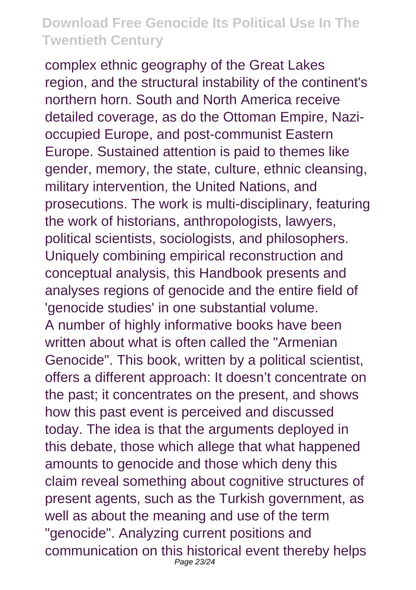complex ethnic geography of the Great Lakes region, and the structural instability of the continent's northern horn. South and North America receive detailed coverage, as do the Ottoman Empire, Nazioccupied Europe, and post-communist Eastern Europe. Sustained attention is paid to themes like gender, memory, the state, culture, ethnic cleansing, military intervention, the United Nations, and prosecutions. The work is multi-disciplinary, featuring the work of historians, anthropologists, lawyers, political scientists, sociologists, and philosophers. Uniquely combining empirical reconstruction and conceptual analysis, this Handbook presents and analyses regions of genocide and the entire field of 'genocide studies' in one substantial volume. A number of highly informative books have been written about what is often called the "Armenian Genocide". This book, written by a political scientist, offers a different approach: It doesn't concentrate on the past; it concentrates on the present, and shows how this past event is perceived and discussed today. The idea is that the arguments deployed in this debate, those which allege that what happened amounts to genocide and those which deny this claim reveal something about cognitive structures of present agents, such as the Turkish government, as well as about the meaning and use of the term "genocide". Analyzing current positions and communication on this historical event thereby helps Page 23/24